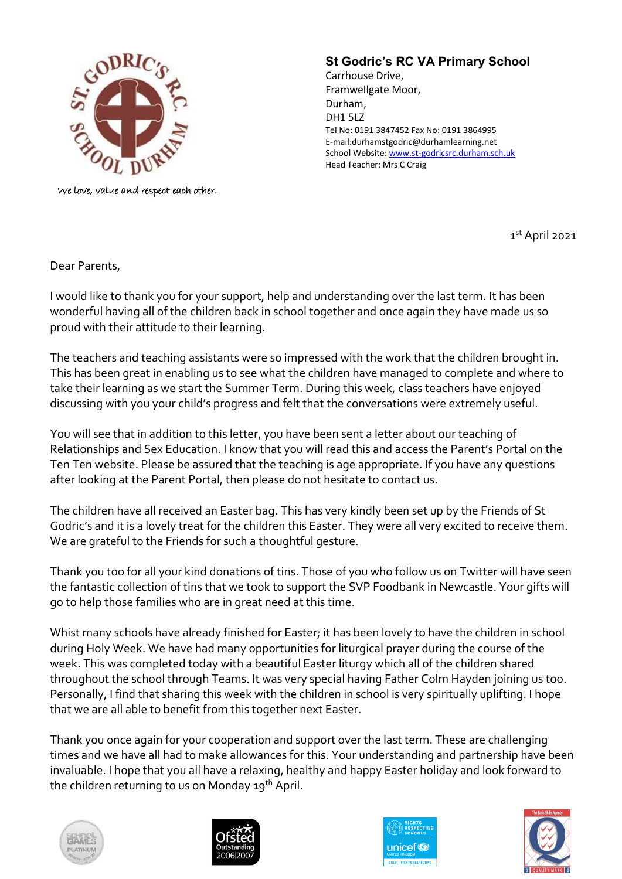

We love, value and respect each other.

## **St Godric's RC VA Primary School**

Carrhouse Drive, Framwellgate Moor, Durham, DH1 5LZ Tel No: 0191 3847452 Fax No: 0191 3864995 E-mail:durhamstgodric@durhamlearning.net School Website[: www.st-godricsrc.durham.sch.uk](http://www.st-godricsrc.durham.sch.uk/) Head Teacher: Mrs C Craig

1 st April 2021

Dear Parents,

I would like to thank you for your support, help and understanding over the last term. It has been wonderful having all of the children back in school together and once again they have made us so proud with their attitude to their learning.

The teachers and teaching assistants were so impressed with the work that the children brought in. This has been great in enabling us to see what the children have managed to complete and where to take their learning as we start the Summer Term. During this week, class teachers have enjoyed discussing with you your child's progress and felt that the conversations were extremely useful.

You will see that in addition to this letter, you have been sent a letter about our teaching of Relationships and Sex Education. I know that you will read this and access the Parent's Portal on the Ten Ten website. Please be assured that the teaching is age appropriate. If you have any questions after looking at the Parent Portal, then please do not hesitate to contact us.

The children have all received an Easter bag. This has very kindly been set up by the Friends of St Godric's and it is a lovely treat for the children this Easter. They were all very excited to receive them. We are grateful to the Friends for such a thoughtful gesture.

Thank you too for all your kind donations of tins. Those of you who follow us on Twitter will have seen the fantastic collection of tins that we took to support the SVP Foodbank in Newcastle. Your gifts will go to help those families who are in great need at this time.

Whist many schools have already finished for Easter; it has been lovely to have the children in school during Holy Week. We have had many opportunities for liturgical prayer during the course of the week. This was completed today with a beautiful Easter liturgy which all of the children shared throughout the school through Teams. It was very special having Father Colm Hayden joining us too. Personally, I find that sharing this week with the children in school is very spiritually uplifting. I hope that we are all able to benefit from this together next Easter.

Thank you once again for your cooperation and support over the last term. These are challenging times and we have all had to make allowances for this. Your understanding and partnership have been invaluable. I hope that you all have a relaxing, healthy and happy Easter holiday and look forward to the children returning to us on Monday 19<sup>th</sup> April.







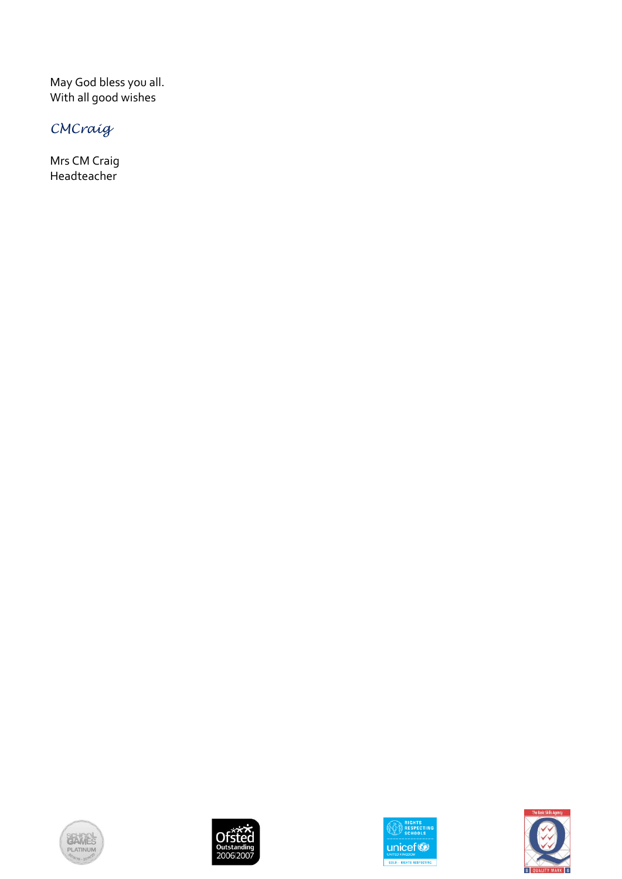May God bless you all. With all good wishes

## *CMCraig*

Mrs CM Craig Headteacher